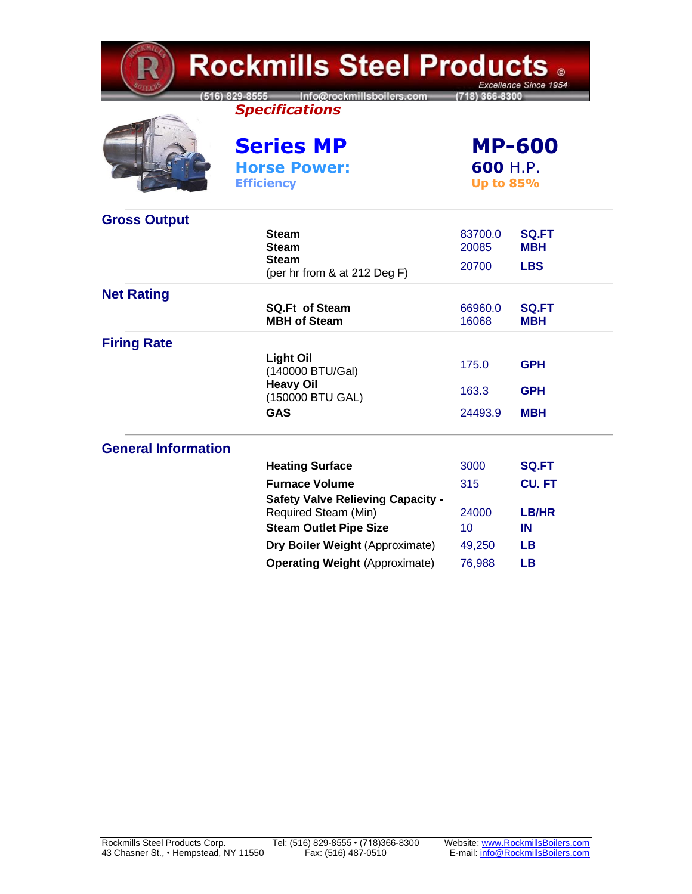| <b>Rockmills Steel Products 。</b><br>Excellence Since 1954 |                                                                                    |                                               |                            |  |
|------------------------------------------------------------|------------------------------------------------------------------------------------|-----------------------------------------------|----------------------------|--|
|                                                            | 516) 829-8555 Info@rockmillsboilers.com<br>(718) 366-8300<br><b>Specifications</b> |                                               |                            |  |
|                                                            | <b>Series MP</b><br><b>Horse Power:</b><br><b>Efficiency</b>                       | <b>MP-600</b><br>600 H.P.<br><b>Up to 85%</b> |                            |  |
| <b>Gross Output</b>                                        |                                                                                    |                                               |                            |  |
|                                                            | <b>Steam</b><br><b>Steam</b>                                                       | 83700.0<br>20085                              | SQ.FT<br><b>MBH</b>        |  |
|                                                            | <b>Steam</b>                                                                       |                                               |                            |  |
|                                                            | (per hr from & at 212 Deg F)                                                       | 20700                                         | <b>LBS</b>                 |  |
| <b>Net Rating</b>                                          |                                                                                    |                                               |                            |  |
|                                                            | <b>SQ.Ft of Steam</b><br><b>MBH of Steam</b>                                       | 66960.0<br>16068                              | <b>SQ.FT</b><br><b>MBH</b> |  |
| <b>Firing Rate</b>                                         |                                                                                    |                                               |                            |  |
|                                                            | <b>Light Oil</b><br>(140000 BTU/Gal)                                               | 175.0                                         | <b>GPH</b>                 |  |
|                                                            | <b>Heavy Oil</b><br>(150000 BTU GAL)                                               | 163.3                                         | <b>GPH</b>                 |  |
|                                                            | <b>GAS</b>                                                                         | 24493.9                                       | <b>MBH</b>                 |  |
| <b>General Information</b>                                 |                                                                                    |                                               |                            |  |
|                                                            | <b>Heating Surface</b>                                                             | 3000                                          | <b>SQ.FT</b>               |  |
|                                                            | <b>Furnace Volume</b>                                                              | 315                                           | <b>CU. FT</b>              |  |
|                                                            | <b>Safety Valve Relieving Capacity -</b><br>Required Steam (Min)                   | 24000                                         | <b>LB/HR</b>               |  |
|                                                            | <b>Steam Outlet Pipe Size</b>                                                      | 10                                            | IN                         |  |
|                                                            | Dry Boiler Weight (Approximate)                                                    | 49,250                                        | <b>LB</b>                  |  |
|                                                            | <b>Operating Weight (Approximate)</b>                                              | 76,988                                        | <b>LB</b>                  |  |

 $\sim$  10  $\mu$   $\sim$